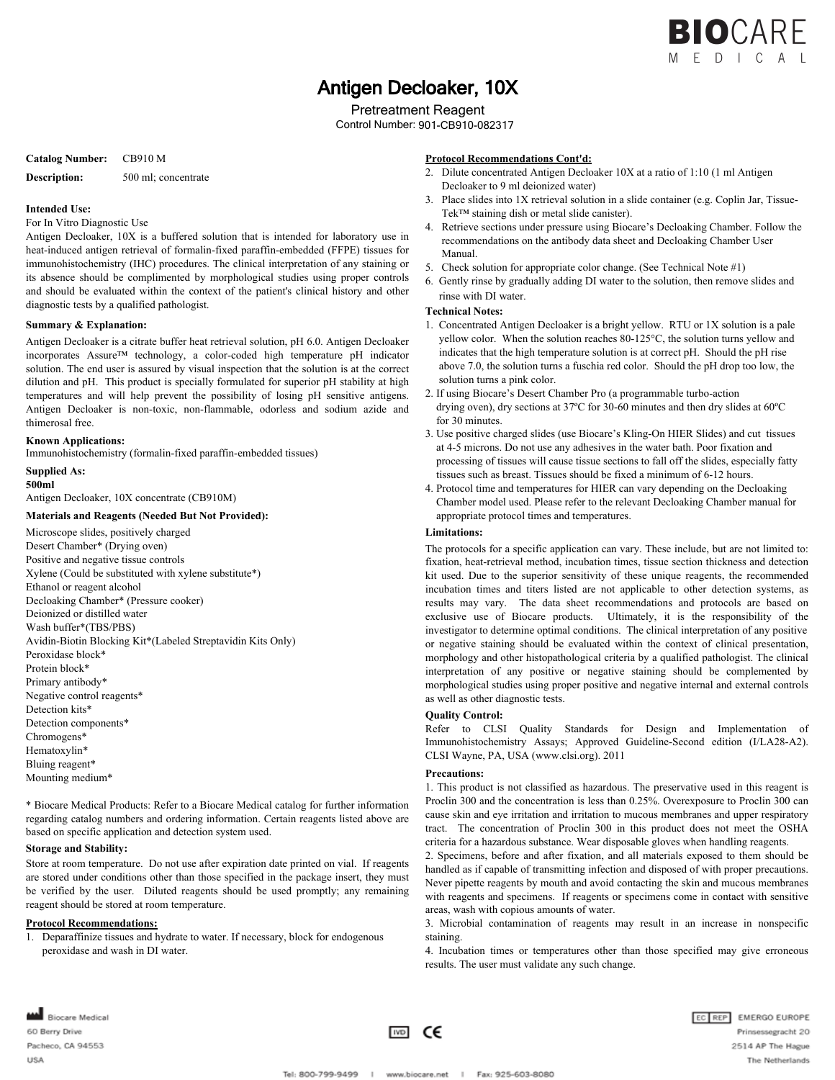

# Antigen Decloaker, 10X

Pretreatment Reagent

Control Number: 901-CB910-082317

## **Catalog Number:** CB910 M

**Description:** 500 ml; concentrate

### **Intended Use:**

#### For In Vitro Diagnostic Use

Antigen Decloaker, 10X is a buffered solution that is intended for laboratory use in heat-induced antigen retrieval of formalin-fixed paraffin-embedded (FFPE) tissues for immunohistochemistry (IHC) procedures. The clinical interpretation of any staining or its absence should be complimented by morphological studies using proper controls and should be evaluated within the context of the patient's clinical history and other diagnostic tests by a qualified pathologist.

## **Summary & Explanation:**

Antigen Decloaker is a citrate buffer heat retrieval solution, pH 6.0. Antigen Decloaker incorporates Assure™ technology, a color-coded high temperature pH indicator solution. The end user is assured by visual inspection that the solution is at the correct dilution and pH. This product is specially formulated for superior pH stability at high temperatures and will help prevent the possibility of losing pH sensitive antigens. Antigen Decloaker is non-toxic, non-flammable, odorless and sodium azide and thimerosal free.

# **Known Applications:**

Immunohistochemistry (formalin-fixed paraffin-embedded tissues)

# **Supplied As:**

**500ml**

Antigen Decloaker, 10X concentrate (CB910M)

# **Materials and Reagents (Needed But Not Provided):**

Microscope slides, positively charged Desert Chamber\* (Drying oven) Positive and negative tissue controls Xylene (Could be substituted with xylene substitute\*) Ethanol or reagent alcohol Decloaking Chamber\* (Pressure cooker) Deionized or distilled water Wash buffer\*(TBS/PBS) Avidin-Biotin Blocking Kit\*(Labeled Streptavidin Kits Only) Peroxidase block\* Protein block\* Primary antibody\* Negative control reagents\* Detection kits\* Detection components\* Chromogens\* Hematoxylin\* Bluing reagent\* Mounting medium\*

\* Biocare Medical Products: Refer to a Biocare Medical catalog for further information regarding catalog numbers and ordering information. Certain reagents listed above are based on specific application and detection system used.

## **Storage and Stability:**

Store at room temperature. Do not use after expiration date printed on vial. If reagents are stored under conditions other than those specified in the package insert, they must be verified by the user. Diluted reagents should be used promptly; any remaining reagent should be stored at room temperature.

#### **Protocol Recommendations:**

1. Deparaffinize tissues and hydrate to water. If necessary, block for endogenous peroxidase and wash in DI water.

## **Protocol Recommendations Cont'd:**

- 2. Dilute concentrated Antigen Decloaker 10X at a ratio of 1:10 (1 ml Antigen Decloaker to 9 ml deionized water)
- 3. Place slides into 1X retrieval solution in a slide container (e.g. Coplin Jar, Tissue- Tek™ staining dish or metal slide canister).
- 4. Retrieve sections under pressure using Biocare's Decloaking Chamber. Follow the recommendations on the antibody data sheet and Decloaking Chamber User Manual.
- 5. Check solution for appropriate color change. (See Technical Note #1)
- 6. Gently rinse by gradually adding DI water to the solution, then remove slides and rinse with DI water.

# **Technical Notes:**

- 1. Concentrated Antigen Decloaker is a bright yellow. RTU or 1X solution is a pale yellow color. When the solution reaches 80-125°C, the solution turns yellow and indicates that the high temperature solution is at correct pH. Should the pH rise above 7.0, the solution turns a fuschia red color. Should the pH drop too low, the solution turns a pink color.
- 2. If using Biocare's Desert Chamber Pro (a programmable turbo-action drying oven), dry sections at 37ºC for 30-60 minutes and then dry slides at 60ºC for 30 minutes.
- 3. Use positive charged slides (use Biocare's Kling-On HIER Slides) and cut tissues at 4-5 microns. Do not use any adhesives in the water bath. Poor fixation and processing of tissues will cause tissue sections to fall off the slides, especially fatty tissues such as breast. Tissues should be fixed a minimum of 6-12 hours.
- 4. Protocol time and temperatures for HIER can vary depending on the Decloaking Chamber model used. Please refer to the relevant Decloaking Chamber manual for appropriate protocol times and temperatures.

### **Limitations:**

The protocols for a specific application can vary. These include, but are not limited to: fixation, heat-retrieval method, incubation times, tissue section thickness and detection kit used. Due to the superior sensitivity of these unique reagents, the recommended incubation times and titers listed are not applicable to other detection systems, as results may vary. The data sheet recommendations and protocols are based on exclusive use of Biocare products. Ultimately, it is the responsibility of the investigator to determine optimal conditions. The clinical interpretation of any positive or negative staining should be evaluated within the context of clinical presentation, morphology and other histopathological criteria by a qualified pathologist. The clinical interpretation of any positive or negative staining should be complemented by morphological studies using proper positive and negative internal and external controls as well as other diagnostic tests.

#### **Quality Control:**

Refer to CLSI Quality Standards for Design and Implementation of Immunohistochemistry Assays; Approved Guideline-Second edition (I/LA28-A2). CLSI Wayne, PA, USA (www.clsi.org). 2011

#### **Precautions:**

1. This product is not classified as hazardous. The preservative used in this reagent is Proclin 300 and the concentration is less than 0.25%. Overexposure to Proclin 300 can cause skin and eye irritation and irritation to mucous membranes and upper respiratory tract. The concentration of Proclin 300 in this product does not meet the OSHA criteria for a hazardous substance. Wear disposable gloves when handling reagents.

2. Specimens, before and after fixation, and all materials exposed to them should be handled as if capable of transmitting infection and disposed of with proper precautions. Never pipette reagents by mouth and avoid contacting the skin and mucous membranes with reagents and specimens. If reagents or specimens come in contact with sensitive areas, wash with copious amounts of water.

3. Microbial contamination of reagents may result in an increase in nonspecific staining.

4. Incubation times or temperatures other than those specified may give erroneous results. The user must validate any such change.

Biocare Medical 60 Berry Drive Pacheco, CA 94553 **USA**